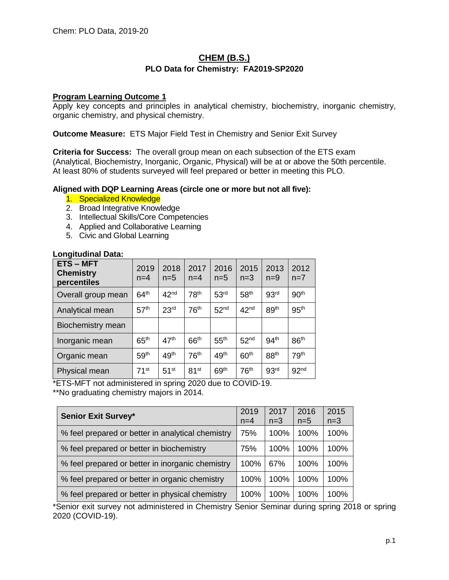# **CHEM (B.S.) PLO Data for Chemistry: FA2019-SP2020**

## **Program Learning Outcome 1**

Apply key concepts and principles in analytical chemistry, biochemistry, inorganic chemistry, organic chemistry, and physical chemistry.

**Outcome Measure:** ETS Major Field Test in Chemistry and Senior Exit Survey

**Criteria for Success:** The overall group mean on each subsection of the ETS exam (Analytical, Biochemistry, Inorganic, Organic, Physical) will be at or above the 50th percentile. At least 80% of students surveyed will feel prepared or better in meeting this PLO.

### **Aligned with DQP Learning Areas (circle one or more but not all five):**

- 1. Specialized Knowledge
- 2. Broad Integrative Knowledge
- 3. Intellectual Skills/Core Competencies
- 4. Applied and Collaborative Learning
- 5. Civic and Global Learning

## **Longitudinal Data:**

| <b>ETS-MFT</b><br><b>Chemistry</b><br>percentiles | 2019<br>$n=4$      | 2018<br>$n=5$    | 2017<br>$n=4$    | 2016<br>$n=5$    | 2015<br>$n=3$    | 2013<br>$n=9$    | 2012<br>$n=7$    |
|---------------------------------------------------|--------------------|------------------|------------------|------------------|------------------|------------------|------------------|
| Overall group mean                                | 64 <sup>th</sup>   | 42 <sup>nd</sup> | 78 <sup>th</sup> | 53 <sup>rd</sup> | 58 <sup>th</sup> | 93 <sup>rd</sup> | 90 <sup>th</sup> |
| Analytical mean                                   | 57 <sup>th</sup>   | 23 <sup>rd</sup> | 76 <sup>th</sup> | 52 <sup>nd</sup> | 42 <sup>nd</sup> | 89 <sup>th</sup> | 95 <sup>th</sup> |
| Biochemistry mean                                 |                    |                  |                  |                  |                  |                  |                  |
| Inorganic mean                                    | 65 <sup>th</sup>   | 47 <sup>th</sup> | 66 <sup>th</sup> | 55 <sup>th</sup> | 52 <sup>nd</sup> | 94 <sup>th</sup> | 86 <sup>th</sup> |
| Organic mean                                      | 59 <sup>th</sup>   | 49 <sup>th</sup> | 76 <sup>th</sup> | 49 <sup>th</sup> | 60 <sup>th</sup> | 88 <sup>th</sup> | 79 <sup>th</sup> |
| Physical mean                                     | $71$ <sup>st</sup> | 51 <sup>st</sup> | 81 <sup>st</sup> | 69 <sup>th</sup> | 76 <sup>th</sup> | 93 <sup>rd</sup> | 92 <sup>nd</sup> |

\*ETS-MFT not administered in spring 2020 due to COVID-19.

\*\*No graduating chemistry majors in 2014.

| <b>Senior Exit Survey*</b>                        | 2019<br>$n=4$ | 2017<br>$n=3$ | 2016<br>$n=5$ | 2015<br>$n=3$ |
|---------------------------------------------------|---------------|---------------|---------------|---------------|
| % feel prepared or better in analytical chemistry | 75%           | 100%          | 100%          | 100%          |
| % feel prepared or better in biochemistry         | 75%           | 100%          | 100%          | 100%          |
| % feel prepared or better in inorganic chemistry  | 100%          | 67%           | 100%          | 100%          |
| % feel prepared or better in organic chemistry    | 100%          | 100%          | 100%          | 100%          |
| % feel prepared or better in physical chemistry   | 100%          | 100%          | 100%          | 100%          |

\*Senior exit survey not administered in Chemistry Senior Seminar during spring 2018 or spring 2020 (COVID-19).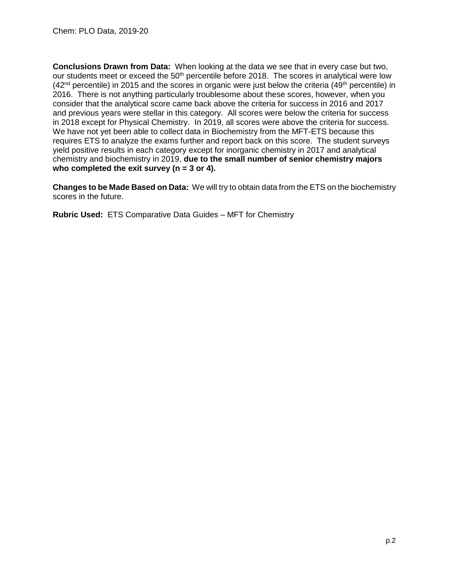**Conclusions Drawn from Data:** When looking at the data we see that in every case but two, our students meet or exceed the  $50<sup>th</sup>$  percentile before 2018. The scores in analytical were low  $(42<sup>nd</sup>$  percentile) in 2015 and the scores in organic were just below the criteria  $(49<sup>th</sup>$  percentile) in 2016. There is not anything particularly troublesome about these scores, however, when you consider that the analytical score came back above the criteria for success in 2016 and 2017 and previous years were stellar in this category. All scores were below the criteria for success in 2018 except for Physical Chemistry. In 2019, all scores were above the criteria for success. We have not yet been able to collect data in Biochemistry from the MFT-ETS because this requires ETS to analyze the exams further and report back on this score. The student surveys yield positive results in each category except for inorganic chemistry in 2017 and analytical chemistry and biochemistry in 2019, **due to the small number of senior chemistry majors who completed the exit survey (n = 3 or 4).**

**Changes to be Made Based on Data:** We will try to obtain data from the ETS on the biochemistry scores in the future.

**Rubric Used:** ETS Comparative Data Guides – MFT for Chemistry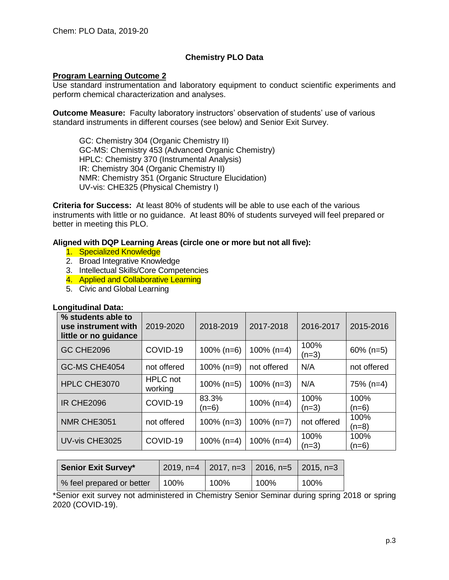# **Chemistry PLO Data**

### **Program Learning Outcome 2**

Use standard instrumentation and laboratory equipment to conduct scientific experiments and perform chemical characterization and analyses.

**Outcome Measure:** Faculty laboratory instructors' observation of students' use of various standard instruments in different courses (see below) and Senior Exit Survey.

GC: Chemistry 304 (Organic Chemistry II) GC-MS: Chemistry 453 (Advanced Organic Chemistry) HPLC: Chemistry 370 (Instrumental Analysis) IR: Chemistry 304 (Organic Chemistry II) NMR: Chemistry 351 (Organic Structure Elucidation) UV-vis: CHE325 (Physical Chemistry I)

**Criteria for Success:** At least 80% of students will be able to use each of the various instruments with little or no guidance. At least 80% of students surveyed will feel prepared or better in meeting this PLO.

#### **Aligned with DQP Learning Areas (circle one or more but not all five):**

- 1. Specialized Knowledge
- 2. Broad Integrative Knowledge
- 3. Intellectual Skills/Core Competencies
- 4. Applied and Collaborative Learning
- 5. Civic and Global Learning

#### **Longitudinal Data:**

| % students able to<br>use instrument with<br>little or no guidance | 2019-2020                  | 2018-2019        | 2017-2018     | 2016-2017       | 2015-2016       |
|--------------------------------------------------------------------|----------------------------|------------------|---------------|-----------------|-----------------|
| <b>GC CHE2096</b>                                                  | COVID-19                   | $100\%$ (n=6)    | $100\%$ (n=4) | 100%<br>$(n=3)$ | $60\%$ (n=5)    |
| GC-MS CHE4054                                                      | not offered                | $100\%$ (n=9)    | not offered   | N/A             | not offered     |
| HPLC CHE3070                                                       | <b>HPLC</b> not<br>working | $100\%$ (n=5)    | $100\%$ (n=3) | N/A             | $75\%$ (n=4)    |
| <b>IR CHE2096</b>                                                  | COVID-19                   | 83.3%<br>$(n=6)$ | $100\%$ (n=4) | 100%<br>$(n=3)$ | 100%<br>$(n=6)$ |
| NMR CHE3051                                                        | not offered                | $100\%$ (n=3)    | $100\% (n=7)$ | not offered     | 100%<br>$(n=8)$ |
| UV-vis CHE3025                                                     | COVID-19                   | $100\%$ (n=4)    | $100\%$ (n=4) | 100%<br>$(n=3)$ | 100%<br>$(n=6)$ |

| <b>Senior Exit Survey*</b> |      | 2019, n=4   2017, n=3   2016, n=5   2015, n=3 |      |      |
|----------------------------|------|-----------------------------------------------|------|------|
| % feel prepared or better  | 100% | 100%                                          | 100% | 100% |

\*Senior exit survey not administered in Chemistry Senior Seminar during spring 2018 or spring 2020 (COVID-19).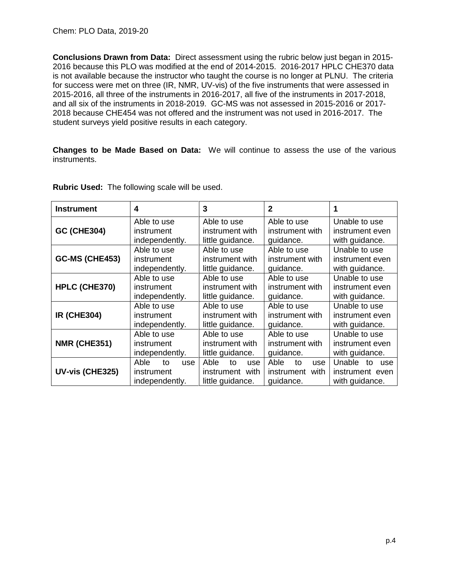**Conclusions Drawn from Data:** Direct assessment using the rubric below just began in 2015- 2016 because this PLO was modified at the end of 2014-2015. 2016-2017 HPLC CHE370 data is not available because the instructor who taught the course is no longer at PLNU. The criteria for success were met on three (IR, NMR, UV-vis) of the five instruments that were assessed in 2015-2016, all three of the instruments in 2016-2017, all five of the instruments in 2017-2018, and all six of the instruments in 2018-2019. GC-MS was not assessed in 2015-2016 or 2017- 2018 because CHE454 was not offered and the instrument was not used in 2016-2017. The student surveys yield positive results in each category.

**Changes to be Made Based on Data:** We will continue to assess the use of the various instruments.

| <b>Instrument</b>     | 4                                                 | 3                                                                                                 | $\mathbf{2}$                                      |                                                       |  |
|-----------------------|---------------------------------------------------|---------------------------------------------------------------------------------------------------|---------------------------------------------------|-------------------------------------------------------|--|
| <b>GC (CHE304)</b>    | Able to use                                       | Able to use                                                                                       | Able to use                                       | Unable to use                                         |  |
|                       | instrument                                        | instrument with                                                                                   | instrument with                                   | instrument even                                       |  |
|                       | independently.                                    | little guidance.                                                                                  | quidance.                                         | with guidance.                                        |  |
| <b>GC-MS (CHE453)</b> | Able to use<br>instrument<br>independently.       | Able to use<br>Able to use<br>instrument with<br>instrument with<br>little guidance.<br>guidance. |                                                   | Unable to use<br>instrument even<br>with guidance.    |  |
| HPLC (CHE370)         | Able to use                                       | Able to use                                                                                       | Able to use                                       | Unable to use                                         |  |
|                       | instrument                                        | instrument with                                                                                   | instrument with                                   | instrument even                                       |  |
|                       | independently.                                    | little guidance.                                                                                  | guidance.                                         | with guidance.                                        |  |
| <b>IR (CHE304)</b>    | Able to use                                       | Able to use                                                                                       | Able to use                                       | Unable to use                                         |  |
|                       | instrument                                        | instrument with                                                                                   | instrument with                                   | instrument even                                       |  |
|                       | independently.                                    | little guidance.                                                                                  | guidance.                                         | with guidance.                                        |  |
| <b>NMR (CHE351)</b>   | Able to use                                       | Able to use                                                                                       | Able to use                                       | Unable to use                                         |  |
|                       | instrument                                        | instrument with                                                                                   | instrument with                                   | instrument even                                       |  |
|                       | independently.                                    | little guidance.                                                                                  | guidance.                                         | with guidance.                                        |  |
| UV-vis (CHE325)       | Able<br>to<br>use<br>instrument<br>independently. | Able<br>to<br>use<br>instrument with<br>little guidance.                                          | Able<br>to<br>use<br>instrument with<br>quidance. | Unable to<br>use<br>instrument even<br>with guidance. |  |

**Rubric Used:** The following scale will be used.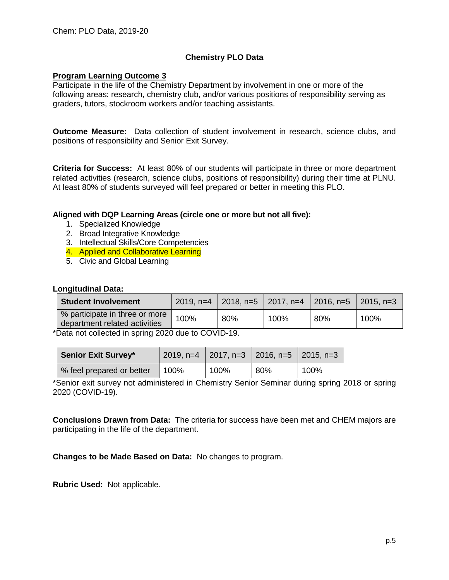# **Chemistry PLO Data**

### **Program Learning Outcome 3**

Participate in the life of the Chemistry Department by involvement in one or more of the following areas: research, chemistry club, and/or various positions of responsibility serving as graders, tutors, stockroom workers and/or teaching assistants.

**Outcome Measure:** Data collection of student involvement in research, science clubs, and positions of responsibility and Senior Exit Survey.

**Criteria for Success:** At least 80% of our students will participate in three or more department related activities (research, science clubs, positions of responsibility) during their time at PLNU. At least 80% of students surveyed will feel prepared or better in meeting this PLO.

### **Aligned with DQP Learning Areas (circle one or more but not all five):**

- 1. Specialized Knowledge
- 2. Broad Integrative Knowledge
- 3. Intellectual Skills/Core Competencies
- 4. Applied and Collaborative Learning
- 5. Civic and Global Learning

#### **Longitudinal Data:**

| <b>Student Involvement</b>                                      |      | 2019, n=4 $\mid$ 2018, n=5 $\mid$ 2017, n=4 $\mid$ 2016, n=5 |      |     | $\pm 2015.$ n=3 |
|-----------------------------------------------------------------|------|--------------------------------------------------------------|------|-----|-----------------|
| % participate in three or more<br>department related activities | 100% | 80%                                                          | 100% | 80% | 100%            |

\*Data not collected in spring 2020 due to COVID-19.

| <b>Senior Exit Survey*</b> |      | $\vert$ 2019, n=4 $\vert$ 2017, n=3 $\vert$ 2016, n=5 $\vert$ 2015, n=3 |     |      |
|----------------------------|------|-------------------------------------------------------------------------|-----|------|
| % feel prepared or better  | 100% | 100%                                                                    | 80% | 100% |

\*Senior exit survey not administered in Chemistry Senior Seminar during spring 2018 or spring 2020 (COVID-19).

**Conclusions Drawn from Data:** The criteria for success have been met and CHEM majors are participating in the life of the department.

**Changes to be Made Based on Data:** No changes to program.

**Rubric Used:** Not applicable.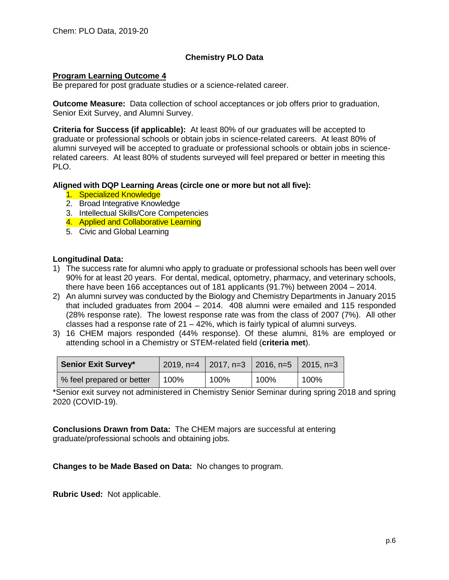# **Chemistry PLO Data**

### **Program Learning Outcome 4**

Be prepared for post graduate studies or a science-related career.

**Outcome Measure:** Data collection of school acceptances or job offers prior to graduation, Senior Exit Survey, and Alumni Survey.

**Criteria for Success (if applicable):** At least 80% of our graduates will be accepted to graduate or professional schools or obtain jobs in science-related careers. At least 80% of alumni surveyed will be accepted to graduate or professional schools or obtain jobs in sciencerelated careers. At least 80% of students surveyed will feel prepared or better in meeting this PLO.

### **Aligned with DQP Learning Areas (circle one or more but not all five):**

- 1. Specialized Knowledge
- 2. Broad Integrative Knowledge
- 3. Intellectual Skills/Core Competencies
- 4. Applied and Collaborative Learning
- 5. Civic and Global Learning

### **Longitudinal Data:**

- 1) The success rate for alumni who apply to graduate or professional schools has been well over 90% for at least 20 years. For dental, medical, optometry, pharmacy, and veterinary schools, there have been 166 acceptances out of 181 applicants (91.7%) between 2004 – 2014.
- 2) An alumni survey was conducted by the Biology and Chemistry Departments in January 2015 that included graduates from 2004 – 2014. 408 alumni were emailed and 115 responded (28% response rate). The lowest response rate was from the class of 2007 (7%). All other classes had a response rate of 21 – 42%, which is fairly typical of alumni surveys.
- 3) 16 CHEM majors responded (44% response). Of these alumni, 81% are employed or attending school in a Chemistry or STEM-related field (**criteria met**).

| <b>Senior Exit Survey*</b> |      | 2019, n=4   2017, n=3   2016, n=5   2015, n=3 |      |      |
|----------------------------|------|-----------------------------------------------|------|------|
| % feel prepared or better  | 100% | 100%                                          | 100% | 100% |

\*Senior exit survey not administered in Chemistry Senior Seminar during spring 2018 and spring 2020 (COVID-19).

**Conclusions Drawn from Data:** The CHEM majors are successful at entering graduate/professional schools and obtaining jobs.

**Changes to be Made Based on Data:** No changes to program.

**Rubric Used:** Not applicable.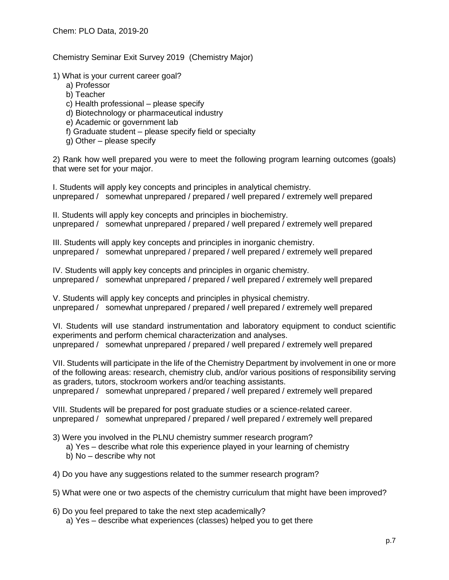Chemistry Seminar Exit Survey 2019 (Chemistry Major)

1) What is your current career goal?

- a) Professor
- b) Teacher
- c) Health professional please specify
- d) Biotechnology or pharmaceutical industry
- e) Academic or government lab
- f) Graduate student please specify field or specialty
- g) Other please specify

2) Rank how well prepared you were to meet the following program learning outcomes (goals) that were set for your major.

I. Students will apply key concepts and principles in analytical chemistry. unprepared / somewhat unprepared / prepared / well prepared / extremely well prepared

II. Students will apply key concepts and principles in biochemistry. unprepared / somewhat unprepared / prepared / well prepared / extremely well prepared

III. Students will apply key concepts and principles in inorganic chemistry. unprepared / somewhat unprepared / prepared / well prepared / extremely well prepared

IV. Students will apply key concepts and principles in organic chemistry. unprepared / somewhat unprepared / prepared / well prepared / extremely well prepared

V. Students will apply key concepts and principles in physical chemistry. unprepared / somewhat unprepared / prepared / well prepared / extremely well prepared

VI. Students will use standard instrumentation and laboratory equipment to conduct scientific experiments and perform chemical characterization and analyses. unprepared / somewhat unprepared / prepared / well prepared / extremely well prepared

VII. Students will participate in the life of the Chemistry Department by involvement in one or more of the following areas: research, chemistry club, and/or various positions of responsibility serving as graders, tutors, stockroom workers and/or teaching assistants.

unprepared / somewhat unprepared / prepared / well prepared / extremely well prepared

VIII. Students will be prepared for post graduate studies or a science-related career. unprepared / somewhat unprepared / prepared / well prepared / extremely well prepared

3) Were you involved in the PLNU chemistry summer research program?

- a) Yes describe what role this experience played in your learning of chemistry
- b) No describe why not
- 4) Do you have any suggestions related to the summer research program?
- 5) What were one or two aspects of the chemistry curriculum that might have been improved?
- 6) Do you feel prepared to take the next step academically? a) Yes – describe what experiences (classes) helped you to get there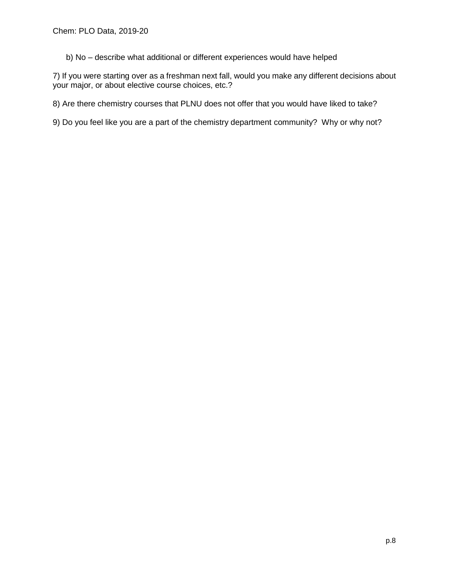b) No – describe what additional or different experiences would have helped

7) If you were starting over as a freshman next fall, would you make any different decisions about your major, or about elective course choices, etc.?

8) Are there chemistry courses that PLNU does not offer that you would have liked to take?

9) Do you feel like you are a part of the chemistry department community? Why or why not?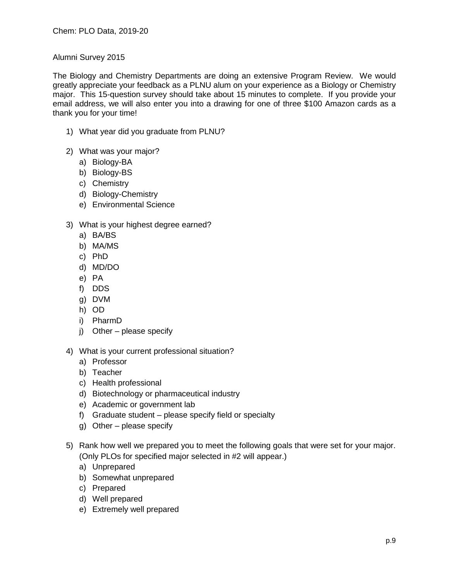### Alumni Survey 2015

The Biology and Chemistry Departments are doing an extensive Program Review. We would greatly appreciate your feedback as a PLNU alum on your experience as a Biology or Chemistry major. This 15-question survey should take about 15 minutes to complete. If you provide your email address, we will also enter you into a drawing for one of three \$100 Amazon cards as a thank you for your time!

- 1) What year did you graduate from PLNU?
- 2) What was your major?
	- a) Biology-BA
	- b) Biology-BS
	- c) Chemistry
	- d) Biology-Chemistry
	- e) Environmental Science
- 3) What is your highest degree earned?
	- a) BA/BS
	- b) MA/MS
	- c) PhD
	- d) MD/DO
	- e) PA
	- f) DDS
	- g) DVM
	- h) OD
	- i) PharmD
	- j) Other please specify
- 4) What is your current professional situation?
	- a) Professor
	- b) Teacher
	- c) Health professional
	- d) Biotechnology or pharmaceutical industry
	- e) Academic or government lab
	- f) Graduate student please specify field or specialty
	- g) Other please specify
- 5) Rank how well we prepared you to meet the following goals that were set for your major. (Only PLOs for specified major selected in #2 will appear.)
	- a) Unprepared
	- b) Somewhat unprepared
	- c) Prepared
	- d) Well prepared
	- e) Extremely well prepared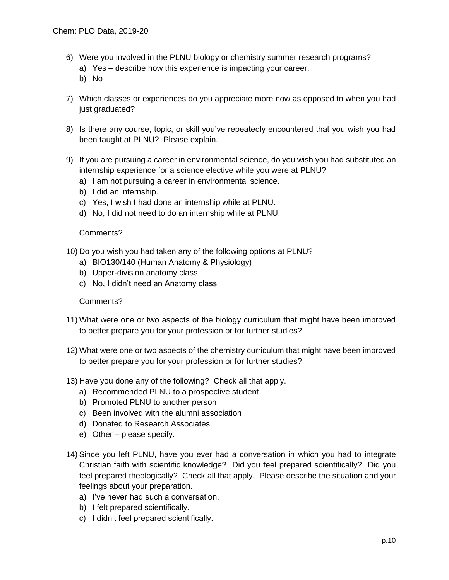- 6) Were you involved in the PLNU biology or chemistry summer research programs?
	- a) Yes describe how this experience is impacting your career.
	- b) No
- 7) Which classes or experiences do you appreciate more now as opposed to when you had just graduated?
- 8) Is there any course, topic, or skill you've repeatedly encountered that you wish you had been taught at PLNU? Please explain.
- 9) If you are pursuing a career in environmental science, do you wish you had substituted an internship experience for a science elective while you were at PLNU?
	- a) I am not pursuing a career in environmental science.
	- b) I did an internship.
	- c) Yes, I wish I had done an internship while at PLNU.
	- d) No, I did not need to do an internship while at PLNU.

### Comments?

- 10) Do you wish you had taken any of the following options at PLNU?
	- a) BIO130/140 (Human Anatomy & Physiology)
	- b) Upper-division anatomy class
	- c) No, I didn't need an Anatomy class

## Comments?

- 11) What were one or two aspects of the biology curriculum that might have been improved to better prepare you for your profession or for further studies?
- 12) What were one or two aspects of the chemistry curriculum that might have been improved to better prepare you for your profession or for further studies?
- 13) Have you done any of the following? Check all that apply.
	- a) Recommended PLNU to a prospective student
	- b) Promoted PLNU to another person
	- c) Been involved with the alumni association
	- d) Donated to Research Associates
	- e) Other please specify.
- 14) Since you left PLNU, have you ever had a conversation in which you had to integrate Christian faith with scientific knowledge? Did you feel prepared scientifically? Did you feel prepared theologically? Check all that apply. Please describe the situation and your feelings about your preparation.
	- a) I've never had such a conversation.
	- b) I felt prepared scientifically.
	- c) I didn't feel prepared scientifically.